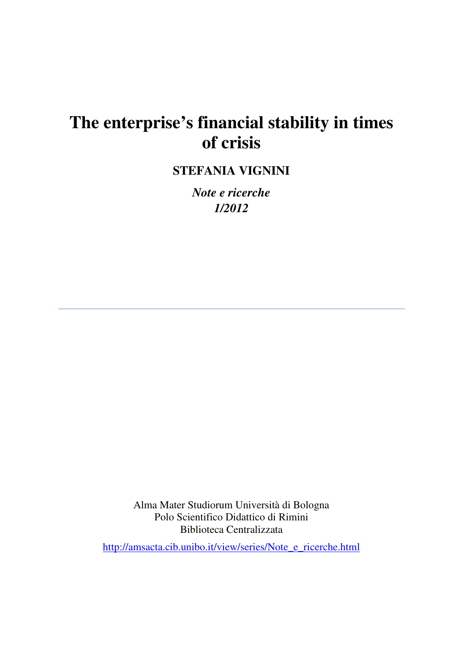# **The enterprise's financial stability in times of crisis**

**STEFANIA VIGNINI** 

*Note e ricerche 1/2012* 

Alma Mater Studiorum Università di Bologna Polo Scientifico Didattico di Rimini Biblioteca Centralizzata

http://amsacta.cib.unibo.it/view/series/Note\_e\_ricerche.html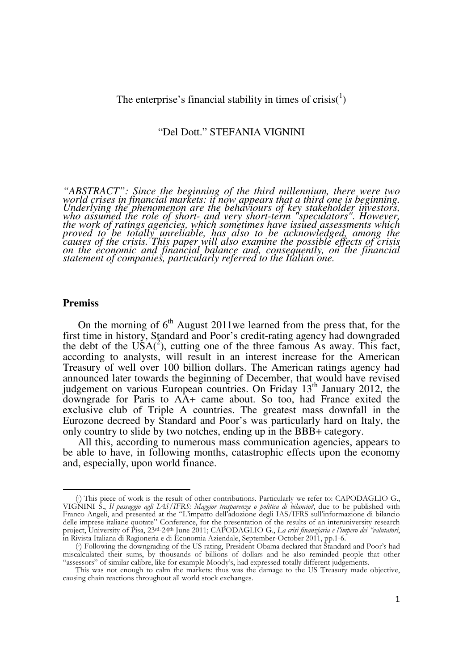The enterprise's financial stability in times of crisis( $\binom{1}{1}$ )

## "Del Dott." STEFANIA VIGNINI

*"ABSTRACT": Since the beginning of the third millennium, there were two world crises in financial markets: it now appears that a third one is beginning. Underlying the phenomenon are the behaviours of key stakeholder investors, who assumed the role of short- and very short-term "speculators". However, the work of ratings agencies, which sometimes have issued assessments which proved to be totally unreliable, has also to be acknowledged, among the causes of the crisis. This paper will also examine the possible effects of crisis on the economic and financial balance and, consequently, on the financial statement of companies, particularly referred to the Italian one.* 

## **Premiss**

l

On the morning of  $6<sup>th</sup>$  August 2011we learned from the press that, for the first time in history, Standard and Poor's credit-rating agency had downgraded the debt of the  $\mathrm{U}\dot{S}A(^{2})$ , cutting one of the three famous As away. This fact, according to analysts, will result in an interest increase for the American Treasury of well over 100 billion dollars. The American ratings agency had announced later towards the beginning of December, that would have revised judgement on various European countries. On Friday 13<sup>th</sup> January 2012, the downgrade for Paris to AA+ came about. So too, had France exited the exclusive club of Triple A countries. The greatest mass downfall in the Eurozone decreed by Standard and Poor's was particularly hard on Italy, the only country to slide by two notches, ending up in the BBB+ category.

All this, according to numerous mass communication agencies, appears to be able to have, in following months, catastrophic effects upon the economy and, especially, upon world finance.

<sup>(</sup> <sup>1</sup>) This piece of work is the result of other contributions. Particularly we refer to: CAPODAGLIO G., VIGNINI S., Il passaggio agli IAS/IFRS: Maggior trasparenza o politica di bilancio?, due to be published with Franco Angeli, and presented at the "L'impatto dell'adozione degli IAS/IFRS sull'informazione di bilancio delle imprese italiane quotate" Conference, for the presentation of the results of an interuniversity research project, University of Pisa, 23<sup>rd</sup>-24<sup>th</sup> June 2011; CAPODAGLIO G., La crisi finanziaria e l'impero dei "valutatori, in Rivista Italiana di Ragioneria e di Economia Aziendale, September-October 2011, pp.1-6.

<sup>(</sup> <sup>2</sup>) Following the downgrading of the US rating, President Obama declared that Standard and Poor's had miscalculated their sums, by thousands of billions of dollars and he also reminded people that other "assessors" of similar calibre, like for example Moody's, had expressed totally different judgements.

This was not enough to calm the markets: thus was the damage to the US Treasury made objective, causing chain reactions throughout all world stock exchanges.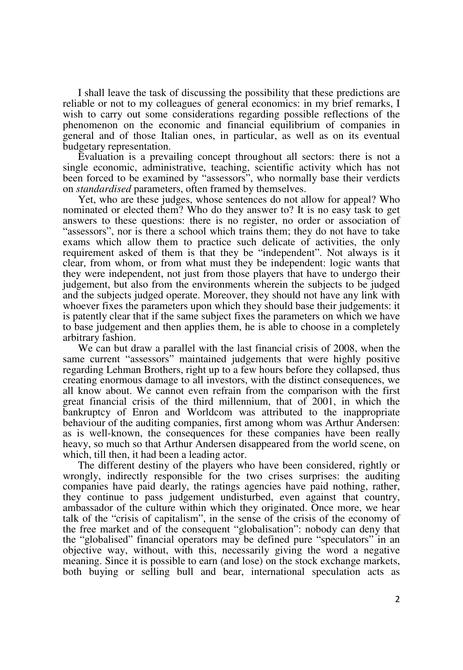I shall leave the task of discussing the possibility that these predictions are reliable or not to my colleagues of general economics: in my brief remarks, I wish to carry out some considerations regarding possible reflections of the phenomenon on the economic and financial equilibrium of companies in general and of those Italian ones, in particular, as well as on its eventual budgetary representation.

Evaluation is a prevailing concept throughout all sectors: there is not a single economic, administrative, teaching, scientific activity which has not been forced to be examined by "assessors", who normally base their verdicts on *standardised* parameters, often framed by themselves.

Yet, who are these judges, whose sentences do not allow for appeal? Who nominated or elected them? Who do they answer to? It is no easy task to get answers to these questions: there is no register, no order or association of "assessors", nor is there a school which trains them; they do not have to take exams which allow them to practice such delicate of activities, the only requirement asked of them is that they be "independent". Not always is it clear, from whom, or from what must they be independent: logic wants that they were independent, not just from those players that have to undergo their judgement, but also from the environments wherein the subjects to be judged and the subjects judged operate. Moreover, they should not have any link with whoever fixes the parameters upon which they should base their judgements: it is patently clear that if the same subject fixes the parameters on which we have to base judgement and then applies them, he is able to choose in a completely arbitrary fashion.

We can but draw a parallel with the last financial crisis of 2008, when the same current "assessors" maintained judgements that were highly positive regarding Lehman Brothers, right up to a few hours before they collapsed, thus creating enormous damage to all investors, with the distinct consequences, we all know about. We cannot even refrain from the comparison with the first great financial crisis of the third millennium, that of 2001, in which the bankruptcy of Enron and Worldcom was attributed to the inappropriate behaviour of the auditing companies, first among whom was Arthur Andersen: as is well-known, the consequences for these companies have been really heavy, so much so that Arthur Andersen disappeared from the world scene, on which, till then, it had been a leading actor.

The different destiny of the players who have been considered, rightly or wrongly, indirectly responsible for the two crises surprises: the auditing companies have paid dearly, the ratings agencies have paid nothing, rather, they continue to pass judgement undisturbed, even against that country, ambassador of the culture within which they originated. Once more, we hear talk of the "crisis of capitalism", in the sense of the crisis of the economy of the free market and of the consequent "globalisation": nobody can deny that the "globalised" financial operators may be defined pure "speculators" in an objective way, without, with this, necessarily giving the word a negative meaning. Since it is possible to earn (and lose) on the stock exchange markets, both buying or selling bull and bear, international speculation acts as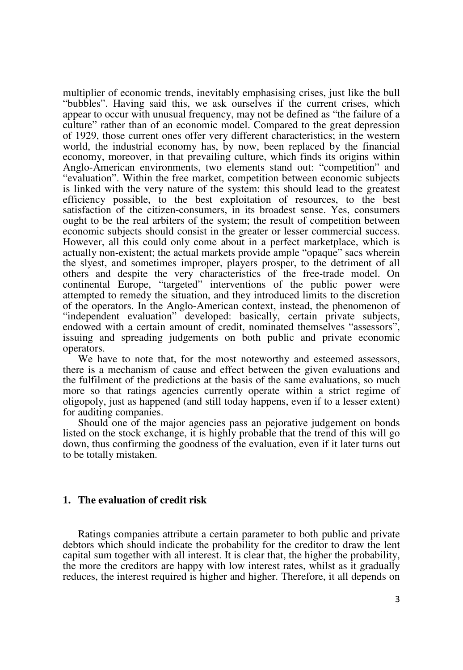multiplier of economic trends, inevitably emphasising crises, just like the bull "bubbles". Having said this, we ask ourselves if the current crises, which appear to occur with unusual frequency, may not be defined as "the failure of a culture" rather than of an economic model. Compared to the great depression of 1929, those current ones offer very different characteristics; in the western world, the industrial economy has, by now, been replaced by the financial economy, moreover, in that prevailing culture, which finds its origins within Anglo-American environments, two elements stand out: "competition" and "evaluation". Within the free market, competition between economic subjects is linked with the very nature of the system: this should lead to the greatest efficiency possible, to the best exploitation of resources, to the best satisfaction of the citizen-consumers, in its broadest sense. Yes, consumers ought to be the real arbiters of the system; the result of competition between economic subjects should consist in the greater or lesser commercial success. However, all this could only come about in a perfect marketplace, which is actually non-existent; the actual markets provide ample "opaque" sacs wherein the slyest, and sometimes improper, players prosper, to the detriment of all others and despite the very characteristics of the free-trade model. On continental Europe, "targeted" interventions of the public power were attempted to remedy the situation, and they introduced limits to the discretion of the operators. In the Anglo-American context, instead, the phenomenon of "independent evaluation" developed: basically, certain private subjects, endowed with a certain amount of credit, nominated themselves "assessors", issuing and spreading judgements on both public and private economic operators.

We have to note that, for the most noteworthy and esteemed assessors, there is a mechanism of cause and effect between the given evaluations and the fulfilment of the predictions at the basis of the same evaluations, so much more so that ratings agencies currently operate within a strict regime of oligopoly, just as happened (and still today happens, even if to a lesser extent) for auditing companies.

Should one of the major agencies pass an pejorative judgement on bonds listed on the stock exchange, it is highly probable that the trend of this will go down, thus confirming the goodness of the evaluation, even if it later turns out to be totally mistaken.

#### **1. The evaluation of credit risk**

Ratings companies attribute a certain parameter to both public and private debtors which should indicate the probability for the creditor to draw the lent capital sum together with all interest. It is clear that, the higher the probability, the more the creditors are happy with low interest rates, whilst as it gradually reduces, the interest required is higher and higher. Therefore, it all depends on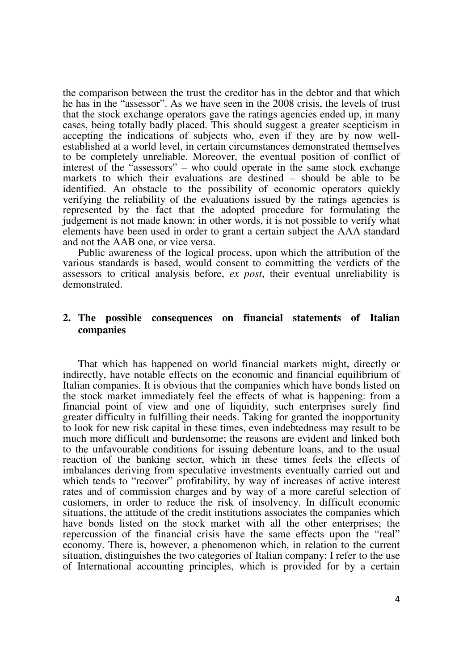the comparison between the trust the creditor has in the debtor and that which he has in the "assessor". As we have seen in the 2008 crisis, the levels of trust that the stock exchange operators gave the ratings agencies ended up, in many cases, being totally badly placed. This should suggest a greater scepticism in accepting the indications of subjects who, even if they are by now wellestablished at a world level, in certain circumstances demonstrated themselves to be completely unreliable. Moreover, the eventual position of conflict of interest of the "assessors" – who could operate in the same stock exchange markets to which their evaluations are destined – should be able to be identified. An obstacle to the possibility of economic operators quickly verifying the reliability of the evaluations issued by the ratings agencies is represented by the fact that the adopted procedure for formulating the judgement is not made known: in other words, it is not possible to verify what elements have been used in order to grant a certain subject the AAA standard and not the AAB one, or vice versa.

Public awareness of the logical process, upon which the attribution of the various standards is based, would consent to committing the verdicts of the assessors to critical analysis before, *ex post*, their eventual unreliability is demonstrated.

# **2. The possible consequences on financial statements of Italian companies**

That which has happened on world financial markets might, directly or indirectly, have notable effects on the economic and financial equilibrium of Italian companies. It is obvious that the companies which have bonds listed on the stock market immediately feel the effects of what is happening: from a financial point of view and one of liquidity, such enterprises surely find greater difficulty in fulfilling their needs. Taking for granted the inopportunity to look for new risk capital in these times, even indebtedness may result to be much more difficult and burdensome; the reasons are evident and linked both to the unfavourable conditions for issuing debenture loans, and to the usual reaction of the banking sector, which in these times feels the effects of imbalances deriving from speculative investments eventually carried out and which tends to "recover" profitability, by way of increases of active interest rates and of commission charges and by way of a more careful selection of customers, in order to reduce the risk of insolvency. In difficult economic situations, the attitude of the credit institutions associates the companies which have bonds listed on the stock market with all the other enterprises; the repercussion of the financial crisis have the same effects upon the "real" economy. There is, however, a phenomenon which, in relation to the current situation, distinguishes the two categories of Italian company: I refer to the use of International accounting principles, which is provided for by a certain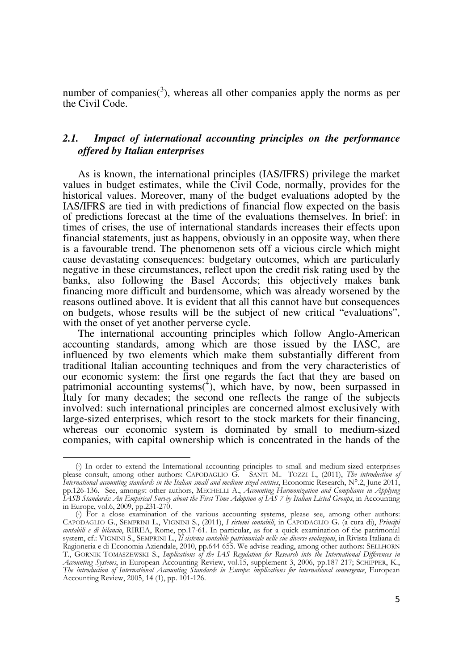number of companies( $3$ ), whereas all other companies apply the norms as per the Civil Code.

# *2.1. Impact of international accounting principles on the performance offered by Italian enterprises*

As is known, the international principles (IAS/IFRS) privilege the market values in budget estimates, while the Civil Code, normally, provides for the historical values. Moreover, many of the budget evaluations adopted by the IAS/IFRS are tied in with predictions of financial flow expected on the basis of predictions forecast at the time of the evaluations themselves. In brief: in times of crises, the use of international standards increases their effects upon financial statements, just as happens, obviously in an opposite way, when there is a favourable trend. The phenomenon sets off a vicious circle which might cause devastating consequences: budgetary outcomes, which are particularly negative in these circumstances, reflect upon the credit risk rating used by the banks, also following the Basel Accords; this objectively makes bank financing more difficult and burdensome, which was already worsened by the reasons outlined above. It is evident that all this cannot have but consequences on budgets, whose results will be the subject of new critical "evaluations", with the onset of yet another perverse cycle.

The international accounting principles which follow Anglo-American accounting standards, among which are those issued by the IASC, are influenced by two elements which make them substantially different from traditional Italian accounting techniques and from the very characteristics of our economic system: the first one regards the fact that they are based on patrimonial accounting systems(<sup>4</sup>), which have, by now, been surpassed in Italy for many decades; the second one reflects the range of the subjects involved: such international principles are concerned almost exclusively with large-sized enterprises, which resort to the stock markets for their financing, whereas our economic system is dominated by small to medium-sized companies, with capital ownership which is concentrated in the hands of the

<sup>(</sup> <sup>3</sup>) In order to extend the International accounting principles to small and medium-sized enterprises please consult, among other authors: CAPODAGLIO G. - SANTI M..- TOZZI I., (2011), The introduction of International accounting standards in the Italian small and medium sized entities, Economic Research,  $N^{\circ}$ 2, June 2011, pp.126-136. See, amongst other authors, MECHELLI A., Accounting Harmonization and Compliance in Applying IASB Standards: An Empirical Survey about the First Time Adoption of IAS 7 by Italian Listed Groups, in Accounting in Europe, vol.6, 2009, pp.231-270.

<sup>(</sup> <sup>4</sup>) For a close examination of the various accounting systems, please see, among other authors: CAPODAGLIO G., SEMPRINI L., VIGNINI S., (2011), I sistemi contabili, in CAPODAGLIO G. (a cura di), Principi contabili e di bilancio, RIREA, Rome, pp.17-61. In particular, as for a quick examination of the patrimonial system, cf.: VIGNINI S., SEMPRINI L., Il sistema contabile patrimoniale nelle sue diverse evoluzioni, in Rivista Italiana di Ragioneria e di Economia Aziendale, 2010, pp.644-655. We advise reading, among other authors: SELLHORN T., GORNIK-TOMASZEWSKI S., Implications of the IAS Regulation for Research into the International Differences in Accounting Systems, in European Accounting Review, vol.15, supplement 3, 2006, pp.187-217; SCHIPPER, K., The introduction of International Accounting Standards in Europe: implications for international convergence, European Accounting Review, 2005, 14 (1), pp. 101-126.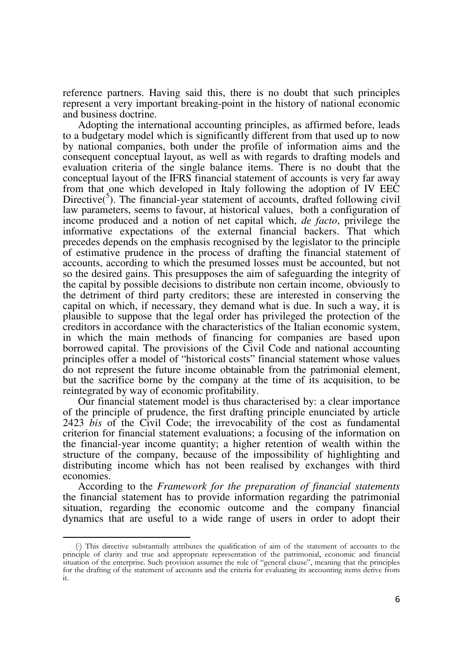reference partners. Having said this, there is no doubt that such principles represent a very important breaking-point in the history of national economic and business doctrine.

Adopting the international accounting principles, as affirmed before, leads to a budgetary model which is significantly different from that used up to now by national companies, both under the profile of information aims and the consequent conceptual layout, as well as with regards to drafting models and evaluation criteria of the single balance items. There is no doubt that the conceptual layout of the IFRS financial statement of accounts is very far away from that one which developed in Italy following the adoption of IV EEC Directive( $5$ ). The financial-year statement of accounts, drafted following civil law parameters, seems to favour, at historical values, both a configuration of income produced and a notion of net capital which, *de facto*, privilege the informative expectations of the external financial backers. That which precedes depends on the emphasis recognised by the legislator to the principle of estimative prudence in the process of drafting the financial statement of accounts, according to which the presumed losses must be accounted, but not so the desired gains. This presupposes the aim of safeguarding the integrity of the capital by possible decisions to distribute non certain income, obviously to the detriment of third party creditors; these are interested in conserving the capital on which, if necessary, they demand what is due. In such a way, it is plausible to suppose that the legal order has privileged the protection of the creditors in accordance with the characteristics of the Italian economic system, in which the main methods of financing for companies are based upon borrowed capital. The provisions of the Civil Code and national accounting principles offer a model of "historical costs" financial statement whose values do not represent the future income obtainable from the patrimonial element, but the sacrifice borne by the company at the time of its acquisition, to be reintegrated by way of economic profitability.

Our financial statement model is thus characterised by: a clear importance of the principle of prudence, the first drafting principle enunciated by article 2423 *bis* of the Civil Code; the irrevocability of the cost as fundamental criterion for financial statement evaluations; a focusing of the information on the financial-year income quantity; a higher retention of wealth within the structure of the company, because of the impossibility of highlighting and distributing income which has not been realised by exchanges with third economies.

According to the *Framework for the preparation of financial statements*  the financial statement has to provide information regarding the patrimonial situation, regarding the economic outcome and the company financial dynamics that are useful to a wide range of users in order to adopt their

<sup>(</sup> <sup>5</sup>) This directive substantially attributes the qualification of aim of the statement of accounts to the principle of clarity and true and appropriate representation of the patrimonial, economic and financial situation of the enterprise. Such provision assumes the role of "general clause", meaning that the principles for the drafting of the statement of accounts and the criteria for evaluating its accounting items derive from it.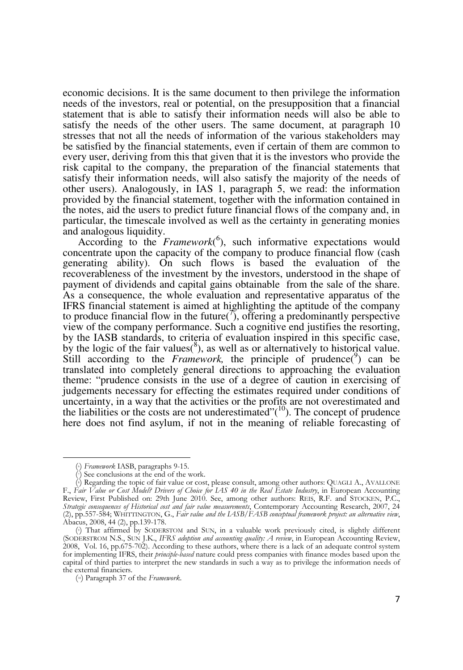economic decisions. It is the same document to then privilege the information needs of the investors, real or potential, on the presupposition that a financial statement that is able to satisfy their information needs will also be able to satisfy the needs of the other users. The same document, at paragraph 10 stresses that not all the needs of information of the various stakeholders may be satisfied by the financial statements, even if certain of them are common to every user, deriving from this that given that it is the investors who provide the risk capital to the company, the preparation of the financial statements that satisfy their information needs, will also satisfy the majority of the needs of other users). Analogously, in IAS 1, paragraph 5, we read: the information provided by the financial statement, together with the information contained in the notes, aid the users to predict future financial flows of the company and, in particular, the timescale involved as well as the certainty in generating monies and analogous liquidity.

According to the *Framework*<sup>(6</sup>), such informative expectations would concentrate upon the capacity of the company to produce financial flow (cash generating ability). On such flows is based the evaluation of the recoverableness of the investment by the investors, understood in the shape of payment of dividends and capital gains obtainable from the sale of the share. As a consequence, the whole evaluation and representative apparatus of the IFRS financial statement is aimed at highlighting the aptitude of the company to produce financial flow in the future( $\tilde{f}$ ), offering a predominantly perspective view of the company performance. Such a cognitive end justifies the resorting, by the IASB standards, to criteria of evaluation inspired in this specific case, by the logic of the fair values( ${}^{8}$ ), as well as or alternatively to historical value. Still according to the *Framework*, the principle of prudence( $9$ ) can be translated into completely general directions to approaching the evaluation theme: "prudence consists in the use of a degree of caution in exercising of judgements necessary for effecting the estimates required under conditions of uncertainty, in a way that the activities or the profits are not overestimated and the liabilities or the costs are not underestimated" $(10)$ . The concept of prudence here does not find asylum, if not in the meaning of reliable forecasting of

<sup>(</sup> <sup>6</sup>) Framework IASB, paragraphs 9-15.

 $\langle \cdot \rangle$  See conclusions at the end of the work.

<sup>(</sup> <sup>8</sup>) Regarding the topic of fair value or cost, please consult, among other authors: QUAGLI A., AVALLONE F., Fair Value or Cost Model? Drivers of Choice for IAS 40 in the Real Estate Industry, in European Accounting Review, First Published on: 29th June 2010. See, among other authors: REIS, R.F. and STOCKEN, P.C., Strategic consequences of Historical cost and fair value measurements, Contemporary Accounting Research, 2007, 24 (2),  $\overline{p}$ , 557-584; WHITTINGTON, G., Fair value and the LASB/FASB conceptual framework project: an alternative view, Abacus, 2008, 44 (2), pp.139-178.

<sup>(</sup> <sup>9</sup>) That affirmed by SODERSTOM and SUN, in a valuable work previously cited, is slightly different (SODERSTROM N.S., SUN J.K., IFRS adoption and accounting quality: A review, in European Accounting Review, 2008, Vol. 16, pp.675-702). According to these authors, where there is a lack of an adequate control system for implementing IFRS, their *principle-based* nature could press companies with finance modes based upon the capital of third parties to interpret the new standards in such a way as to privilege the information needs of the external financiers.

<sup>(</sup> 10) Paragraph 37 of the Framework.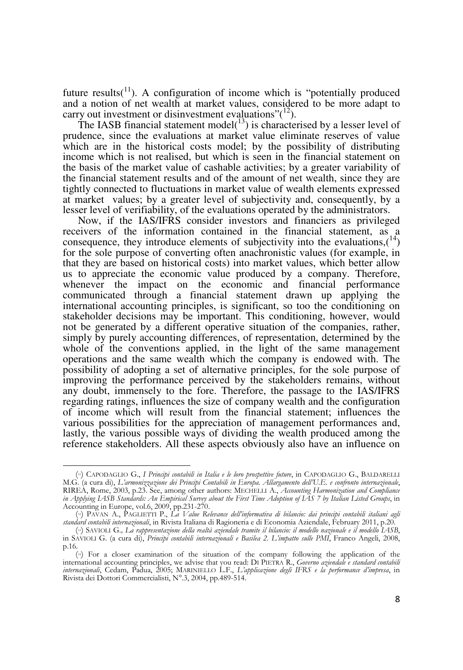future results( $11$ ). A configuration of income which is "potentially produced and a notion of net wealth at market values, considered to be more adapt to carry out investment or disinvestment evaluations" $(12)$ .

The IASB financial statement model( $^{13}$ ) is characterised by a lesser level of prudence, since the evaluations at market value eliminate reserves of value which are in the historical costs model; by the possibility of distributing income which is not realised, but which is seen in the financial statement on the basis of the market value of cashable activities; by a greater variability of the financial statement results and of the amount of net wealth, since they are tightly connected to fluctuations in market value of wealth elements expressed at market values; by a greater level of subjectivity and, consequently, by a lesser level of verifiability, of the evaluations operated by the administrators.

Now, if the IAS/IFRS consider investors and financiers as privileged receivers of the information contained in the financial statement, as a consequence, they introduce elements of subjectivity into the evaluations,  $(14)$ for the sole purpose of converting often anachronistic values (for example, in that they are based on historical costs) into market values, which better allow us to appreciate the economic value produced by a company. Therefore, whenever the impact on the economic and financial performance communicated through a financial statement drawn up applying the international accounting principles, is significant, so too the conditioning on stakeholder decisions may be important. This conditioning, however, would not be generated by a different operative situation of the companies, rather, simply by purely accounting differences, of representation, determined by the whole of the conventions applied, in the light of the same management operations and the same wealth which the company is endowed with. The possibility of adopting a set of alternative principles, for the sole purpose of improving the performance perceived by the stakeholders remains, without any doubt, immensely to the fore. Therefore, the passage to the IAS/IFRS regarding ratings, influences the size of company wealth and the configuration of income which will result from the financial statement; influences the various possibilities for the appreciation of management performances and, lastly, the various possible ways of dividing the wealth produced among the reference stakeholders. All these aspects obviously also have an influence on

<sup>(</sup>v) CAPODAGLIO G., I Principi contabili in Italia e le loro prospettive future, in CAPODAGLIO G., BALDARELLI M.G. (a cura di), L'armonizzazione dei Principi Contabili in Europa. Allargamento dell'U.E. e confronto internazionale, RIREA, Rome, 2003, p.23. See, among other authors: MECHELLI A., Accounting Harmonization and Compliance in Applying IASB Standards: An Empirical Survey about the First Time Adoption of IAS 7 by Italian Listed Groups, in Accounting in Europe, vol.6, 2009, pp.231-270.

<sup>(</sup> <sup>12</sup>) PAVAN A., PAGLIETTI P., La Value Relevance dell'informativa di bilancio: dai principi contabili italiani agli standard contabili internazionali, in Rivista Italiana di Ragioneria e di Economia Aziendale, February 2011, p.20.

<sup>(</sup> <sup>13</sup>) SAVIOLI G., La rappresentazione della realtà aziendale tramite il bilancio: il modello nazionale e il modello IASB, in SAVIOLI G. (a cura di), Principi contabili internazionali e Basilea 2. L'impatto sulle PMI, Franco Angeli, 2008, p.16.

<sup>(</sup> <sup>14</sup>) For a closer examination of the situation of the company following the application of the international accounting principles, we advise that you read: DI PIETRA R., Governo aziendale e standard contabili internazionali, Cedam, Padua, 2005; MARINIELLO L.F., L'applicazione degli IFRS e la performance d'impresa, in Rivista dei Dottori Commercialisti, N°.3, 2004, pp.489-514.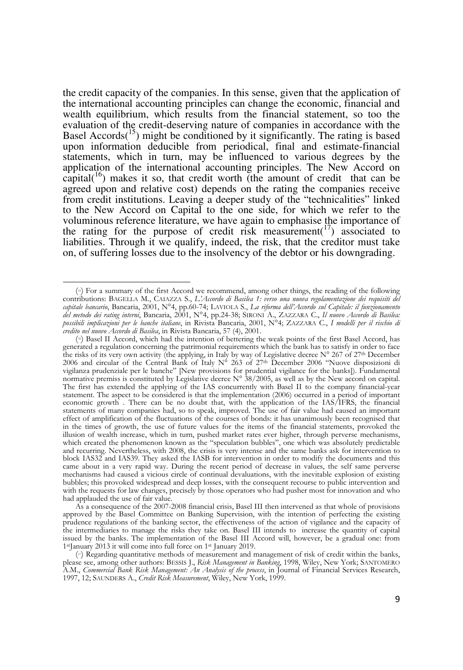the credit capacity of the companies. In this sense, given that the application of the international accounting principles can change the economic, financial and wealth equilibrium, which results from the financial statement, so too the evaluation of the credit-deserving nature of companies in accordance with the Basel Accords<sup> $(15)$ </sup> might be conditioned by it significantly. The rating is based upon information deducible from periodical, final and estimate-financial statements, which in turn, may be influenced to various degrees by the application of the international accounting principles. The New Accord on capital( $16$ ) makes it so, that credit worth (the amount of credit that can be agreed upon and relative cost) depends on the rating the companies receive from credit institutions. Leaving a deeper study of the "technicalities" linked to the New Accord on Capital to the one side, for which we refer to the voluminous reference literature, we have again to emphasise the importance of the rating for the purpose of credit risk measurement( $17$ ) associated to liabilities. Through it we qualify, indeed, the risk, that the creditor must take on, of suffering losses due to the insolvency of the debtor or his downgrading.

<sup>(</sup> <sup>15</sup>) For a summary of the first Accord we recommend, among other things, the reading of the following contributions: BAGELLA M., CAIAZZA S., L'Accordo di Basilea 1: verso una nuova regolamentazione dei requisiti del capitale bancario, Bancaria, 2001, N°4, pp.60-74; LAVIOLA S., La riforma dell'Accordo sul Capitale: il funzionamento del metodo dei rating interni, Bancaria, 2001, N°4, pp.24-38; SIRONI A., ZAZZARA C., Il nuovo Accordo di Basilea: possibili implicazioni per le banche italiane, in Rivista Bancaria, 2001, N°4; ZAZZARA C., I modelli per il rischio di credito nel nuovo Accordo di Basilea, in Rivista Bancaria, 57 (4), 2001.

<sup>(</sup> <sup>16</sup>) Basel II Accord, which had the intention of bettering the weak points of the first Basel Accord, has generated a regulation concerning the patrimonial requirements which the bank has to satisfy in order to face the risks of its very own activity (the applying, in Italy by way of Legislative decree N° 267 of 27th December 2006 and circular of the Central Bank of Italy N° 263 of 27th December 2006 "Nuove disposizioni di vigilanza prudenziale per le banche" [New provisions for prudential vigilance for the banks]). Fundamental normative premiss is constituted by Legislative decree  $N^{\circ}$  38/2005, as well as by the New accord on capital. The first has extended the applying of the IAS concurrently with Basel II to the company financial-year statement. The aspect to be considered is that the implementation (2006) occurred in a period of important economic growth . There can be no doubt that, with the application of the IAS/IFRS, the financial statements of many companies had, so to speak, improved. The use of fair value had caused an important effect of amplification of the fluctuations of the courses of bonds: it has unanimously been recognised that in the times of growth, the use of future values for the items of the financial statements, provoked the illusion of wealth increase, which in turn, pushed market rates ever higher, through perverse mechanisms, which created the phenomenon known as the "speculation bubbles", one which was absolutely predictable and recurring. Nevertheless, with 2008, the crisis is very intense and the same banks ask for intervention to block IAS32 and IAS39. They asked the IASB for intervention in order to modify the documents and this came about in a very rapid way. During the recent period of decrease in values, the self same perverse mechanisms had caused a vicious circle of continual devaluations, with the inevitable explosion of existing bubbles; this provoked widespread and deep losses, with the consequent recourse to public intervention and with the requests for law changes, precisely by those operators who had pusher most for innovation and who had applauded the use of fair value.

As a consequence of the 2007-2008 financial crisis, Basel III then intervened as that whole of provisions approved by the Basel Committee on Banking Supervision, with the intention of perfecting the existing prudence regulations of the banking sector, the effectiveness of the action of vigilance and the capacity of the intermediaries to manage the risks they take on. Basel III intends to increase the quantity of capital issued by the banks. The implementation of the Basel III Accord will, however, be a gradual one: from 1<sup>st</sup>January 2013 it will come into full force on 1<sup>st</sup> January 2019.

<sup>(</sup> <sup>17</sup>) Regarding quantitative methods of measurement and management of risk of credit within the banks, please see, among other authors: BESSIS J., Risk Management in Banking, 1998, Wiley, New York; SANTOMERO A.M., Commercial Bank Risk Management: An Analysis of the process, in Journal of Financial Services Research, 1997, 12; SAUNDERS A., Credit Risk Measurement, Wiley, New York, 1999.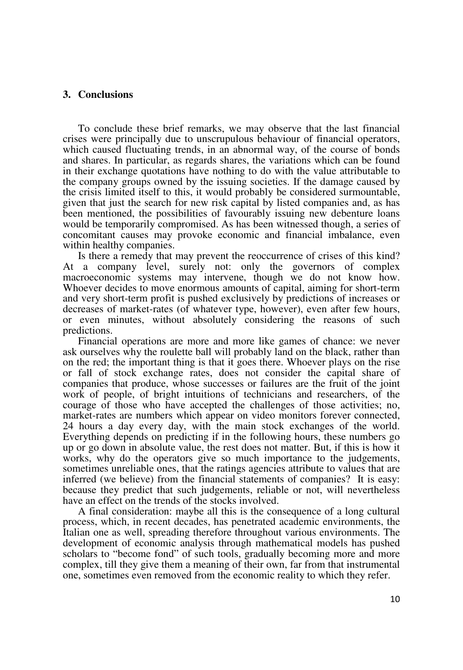#### **3. Conclusions**

To conclude these brief remarks, we may observe that the last financial crises were principally due to unscrupulous behaviour of financial operators, which caused fluctuating trends, in an abnormal way, of the course of bonds and shares. In particular, as regards shares, the variations which can be found in their exchange quotations have nothing to do with the value attributable to the company groups owned by the issuing societies. If the damage caused by the crisis limited itself to this, it would probably be considered surmountable, given that just the search for new risk capital by listed companies and, as has been mentioned, the possibilities of favourably issuing new debenture loans would be temporarily compromised. As has been witnessed though, a series of concomitant causes may provoke economic and financial imbalance, even within healthy companies.

Is there a remedy that may prevent the reoccurrence of crises of this kind? At a company level, surely not: only the governors of complex macroeconomic systems may intervene, though we do not know how. Whoever decides to move enormous amounts of capital, aiming for short-term and very short-term profit is pushed exclusively by predictions of increases or decreases of market-rates (of whatever type, however), even after few hours, or even minutes, without absolutely considering the reasons of such predictions.

Financial operations are more and more like games of chance: we never ask ourselves why the roulette ball will probably land on the black, rather than on the red; the important thing is that it goes there. Whoever plays on the rise or fall of stock exchange rates, does not consider the capital share of companies that produce, whose successes or failures are the fruit of the joint work of people, of bright intuitions of technicians and researchers, of the courage of those who have accepted the challenges of those activities; no, market-rates are numbers which appear on video monitors forever connected, 24 hours a day every day, with the main stock exchanges of the world. Everything depends on predicting if in the following hours, these numbers go up or go down in absolute value, the rest does not matter. But, if this is how it works, why do the operators give so much importance to the judgements, sometimes unreliable ones, that the ratings agencies attribute to values that are inferred (we believe) from the financial statements of companies? It is easy: because they predict that such judgements, reliable or not, will nevertheless have an effect on the trends of the stocks involved.

A final consideration: maybe all this is the consequence of a long cultural process, which, in recent decades, has penetrated academic environments, the Italian one as well, spreading therefore throughout various environments. The development of economic analysis through mathematical models has pushed scholars to "become fond" of such tools, gradually becoming more and more complex, till they give them a meaning of their own, far from that instrumental one, sometimes even removed from the economic reality to which they refer.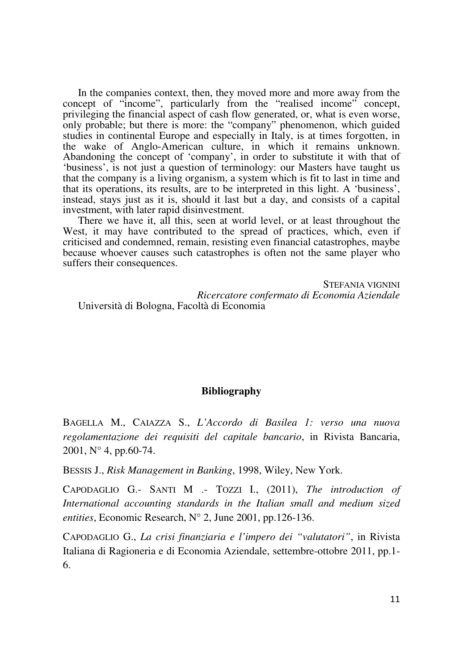In the companies context, then, they moved more and more away from the concept of "income", particularly from the "realised income" concept, privileging the financial aspect of cash flow generated, or, what is even worse, only probable; but there is more: the "company" phenomenon, which guided studies in continental Europe and especially in Italy, is at times forgotten, in the wake of Anglo-American culture, in which it remains unknown. Abandoning the concept of 'company', in order to substitute it with that of 'business', is not just a question of terminology: our Masters have taught us that the company is a living organism, a system which is fit to last in time and that its operations, its results, are to be interpreted in this light. A 'business', instead, stays just as it is, should it last but a day, and consists of a capital investment, with later rapid disinvestment.

There we have it, all this, seen at world level, or at least throughout the West, it may have contributed to the spread of practices, which, even if criticised and condemned, remain, resisting even financial catastrophes, maybe because whoever causes such catastrophes is often not the same player who suffers their consequences.

STEFANIA VIGNINI *Ricercatore confermato di Economia Aziendale*  Università di Bologna, Facoltà di Economia

## **Bibliography**

BAGELLA M., CAIAZZA S., *L'Accordo di Basilea 1: verso una nuova regolamentazione dei requisiti del capitale bancario*, in Rivista Bancaria, 2001, N° 4, pp.60-74.

BESSIS J., *Risk Management in Banking*, 1998, Wiley, New York.

CAPODAGLIO G.- SANTI M .- TOZZI I., (2011), *The introduction of International accounting standards in the Italian small and medium sized entities*, Economic Research, N° 2, June 2001, pp.126-136.

CAPODAGLIO G., *La crisi finanziaria e l'impero dei "valutatori"*, in Rivista Italiana di Ragioneria e di Economia Aziendale, settembre-ottobre 2011, pp.1- 6.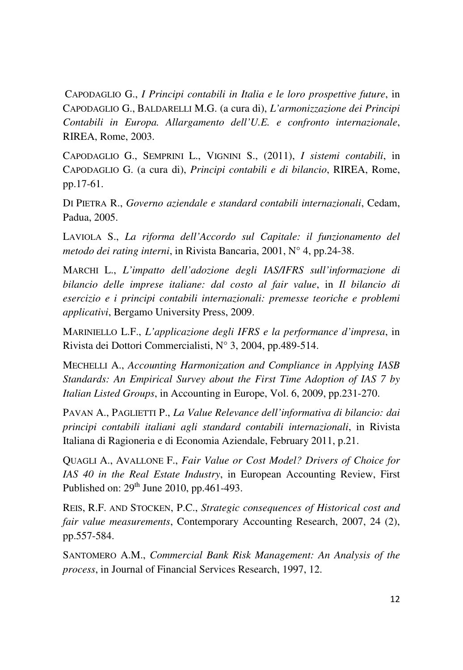CAPODAGLIO G., *I Principi contabili in Italia e le loro prospettive future*, in CAPODAGLIO G., BALDARELLI M.G. (a cura di), *L'armonizzazione dei Principi Contabili in Europa. Allargamento dell'U.E. e confronto internazionale*, RIREA, Rome, 2003.

CAPODAGLIO G., SEMPRINI L., VIGNINI S., (2011), *I sistemi contabili*, in CAPODAGLIO G. (a cura di), *Principi contabili e di bilancio*, RIREA, Rome, pp.17-61.

DI PIETRA R., *Governo aziendale e standard contabili internazionali*, Cedam, Padua, 2005.

LAVIOLA S., *La riforma dell'Accordo sul Capitale: il funzionamento del metodo dei rating interni*, in Rivista Bancaria, 2001, N° 4, pp.24-38.

MARCHI L., *L'impatto dell'adozione degli IAS/IFRS sull'informazione di bilancio delle imprese italiane: dal costo al fair value*, in *Il bilancio di esercizio e i principi contabili internazionali: premesse teoriche e problemi applicativi*, Bergamo University Press, 2009.

MARINIELLO L.F., *L'applicazione degli IFRS e la performance d'impresa*, in Rivista dei Dottori Commercialisti, N° 3, 2004, pp.489-514.

MECHELLI A., *Accounting Harmonization and Compliance in Applying IASB Standards: An Empirical Survey about the First Time Adoption of IAS 7 by Italian Listed Groups*, in Accounting in Europe, Vol. 6, 2009, pp.231-270.

PAVAN A., PAGLIETTI P., *La Value Relevance dell'informativa di bilancio: dai principi contabili italiani agli standard contabili internazionali*, in Rivista Italiana di Ragioneria e di Economia Aziendale, February 2011, p.21.

QUAGLI A., AVALLONE F., *Fair Value or Cost Model? Drivers of Choice for IAS 40 in the Real Estate Industry*, in European Accounting Review, First Published on:  $29<sup>th</sup>$  June 2010, pp.461-493.

REIS, R.F. AND STOCKEN, P.C., *Strategic consequences of Historical cost and fair value measurements*, Contemporary Accounting Research, 2007, 24 (2), pp.557-584.

SANTOMERO A.M., *Commercial Bank Risk Management: An Analysis of the process*, in Journal of Financial Services Research, 1997, 12.